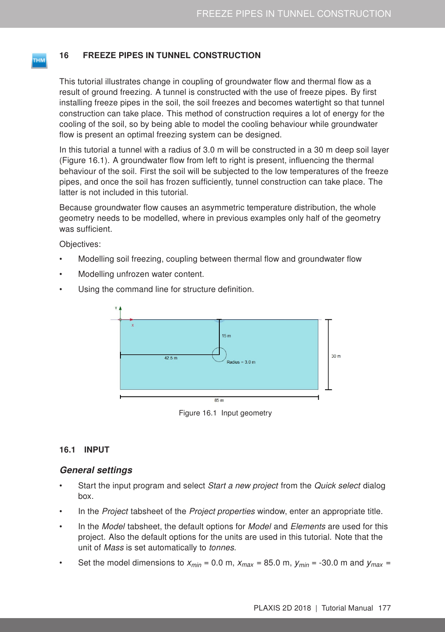# 16 FREEZE PIPES IN TUNNEL CONSTRUCTION

This tutorial illustrates change in coupling of groundwater flow and thermal flow as a result of ground freezing. A tunnel is constructed with the use of freeze pipes. By first installing freeze pipes in the soil, the soil freezes and becomes watertight so that tunnel construction can take place. This method of construction requires a lot of energy for the cooling of the soil, so by being able to model the cooling behaviour while groundwater flow is present an optimal freezing system can be designed.

In this tutorial a tunnel with a radius of 3.0 m will be constructed in a 30 m deep soil layer (Figure [16.1\)](#page-0-0). A groundwater flow from left to right is present, influencing the thermal behaviour of the soil. First the soil will be subjected to the low temperatures of the freeze pipes, and once the soil has frozen sufficiently, tunnel construction can take place. The latter is not included in this tutorial.

Because groundwater flow causes an asymmetric temperature distribution, the whole geometry needs to be modelled, where in previous examples only half of the geometry was sufficient.

Objectives:

<span id="page-0-1"></span>**THM** 

- Modelling soil freezing, coupling between thermal flow and groundwater flow
- Modelling unfrozen water content.
- Using the command line for structure definition.



<span id="page-0-0"></span>Figure 16.1 Input geometry

## 16.1 INPUT

## General settings

- Start the input program and select Start a new project from the Quick select dialog box.
- In the *Project* tabsheet of the *Project properties* window, enter an appropriate title.
- In the Model tabsheet, the default options for Model and Elements are used for this project. Also the default options for the units are used in this tutorial. Note that the unit of Mass is set automatically to tonnes.
- Set the model dimensions to  $x_{min} = 0.0$  m,  $x_{max} = 85.0$  m,  $y_{min} = -30.0$  m and  $y_{max} =$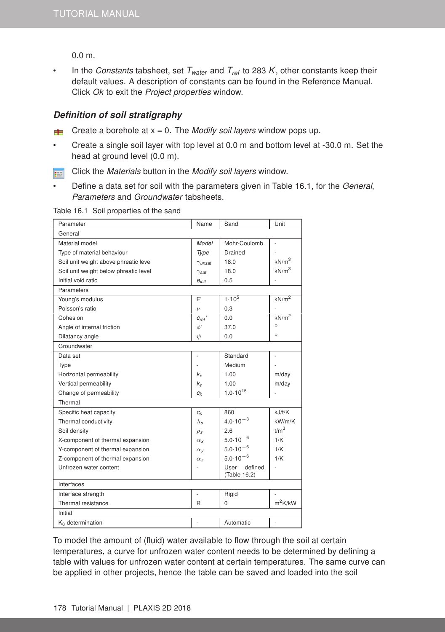0.0 m.

In the *Constants* tabsheet, set  $T_{water}$  and  $T_{ref}$  to 283 K, other constants keep their default values. A description of constants can be found in the [Reference Manual.](#page-0-1) Click Ok to exit the Project properties window.

### Definition of soil stratigraphy

- For Create a borehole at  $x = 0$ . The *Modify soil layers* window pops up.
- Create a single soil layer with top level at 0.0 m and bottom level at -30.0 m. Set the head at ground level (0.0 m).
- Click the Materials button in the Modify soil layers window. 事
- Define a data set for soil with the parameters given in Table [16.1,](#page-1-0) for the General, Parameters and Groundwater tabsheets.

<span id="page-1-0"></span>Table 16.1 Soil properties of the sand

| Parameter                             | Name                    | Sand                            | Unit              |  |  |  |  |
|---------------------------------------|-------------------------|---------------------------------|-------------------|--|--|--|--|
| General                               |                         |                                 |                   |  |  |  |  |
| Material model                        | Model                   | Mohr-Coulomb                    | L,                |  |  |  |  |
| Type of material behaviour            | Type                    | Drained                         |                   |  |  |  |  |
| Soil unit weight above phreatic level | $\gamma$ unsat          | 18.0                            | kN/m <sup>3</sup> |  |  |  |  |
| Soil unit weight below phreatic level | $\gamma_{\textit{sat}}$ | 18.0                            | kN/m <sup>3</sup> |  |  |  |  |
| Initial void ratio                    | $e_{init}$              | 0.5                             |                   |  |  |  |  |
| Parameters                            |                         |                                 |                   |  |  |  |  |
| Young's modulus                       | E'                      | $1.10^{5}$                      | kN/m <sup>2</sup> |  |  |  |  |
| Poisson's ratio                       | $\boldsymbol{\nu}$      | 0.3                             |                   |  |  |  |  |
| Cohesion                              | $C_{ref}$               | 0.0                             | kN/m <sup>2</sup> |  |  |  |  |
| Angle of internal friction            | φ,                      | 37.0                            | $\circ$           |  |  |  |  |
| Dilatancy angle                       | ψ                       | 0.0                             | $\circ$           |  |  |  |  |
| Groundwater                           |                         |                                 |                   |  |  |  |  |
| Data set                              | L.                      | Standard                        | ÷,                |  |  |  |  |
| <b>Type</b>                           |                         | Medium                          |                   |  |  |  |  |
| Horizontal permeability               | k,                      | 1.00                            | m/day             |  |  |  |  |
| Vertical permeability                 | $k_{V}$                 | 1.00                            | m/day             |  |  |  |  |
| Change of permeability                | $c_{k}$                 | $1.0 \cdot 10^{15}$             |                   |  |  |  |  |
| Thermal                               |                         |                                 |                   |  |  |  |  |
| Specific heat capacity                | $C_{S}$                 | 860                             | kJ/t/K            |  |  |  |  |
| Thermal conductivity                  | $\lambda_{\mathsf{s}}$  | $4.0.10^{-3}$                   | kW/m/K            |  |  |  |  |
| Soil density                          | $\rho_s$                | 2.6                             | t/m <sup>3</sup>  |  |  |  |  |
| X-component of thermal expansion      | $\alpha_{x}$            | $5.0 \cdot 10^{-6}$             | 1/K               |  |  |  |  |
| Y-component of thermal expansion      | $\alpha_V$              | $5.0 \cdot 10^{-6}$             | 1/K               |  |  |  |  |
| Z-component of thermal expansion      | $\alpha$ <sub>7</sub>   | $5.0.10^{-6}$                   | 1/K               |  |  |  |  |
| Unfrozen water content                |                         | User<br>defined<br>(Table 16.2) | ÷                 |  |  |  |  |
| Interfaces                            |                         |                                 |                   |  |  |  |  |
| Interface strength                    | $\overline{a}$          | Rigid                           |                   |  |  |  |  |
| Thermal resistance                    | R                       | 0                               | $m^2K/kW$         |  |  |  |  |
| Initial                               |                         |                                 |                   |  |  |  |  |
| $K_0$ determination                   | $\overline{a}$          | Automatic                       | ÷,                |  |  |  |  |

To model the amount of (fluid) water available to flow through the soil at certain temperatures, a curve for unfrozen water content needs to be determined by defining a table with values for unfrozen water content at certain temperatures. The same curve can be applied in other projects, hence the table can be saved and loaded into the soil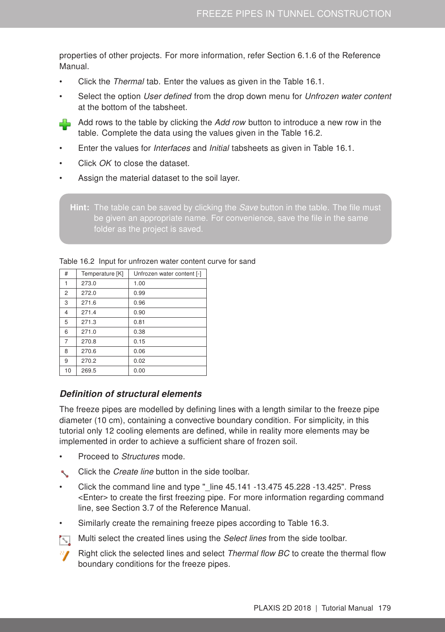properties of other projects. For more information, refer Section 6.1.6 of the [Reference](#page-0-1) [Manual.](#page-0-1)

- Click the Thermal tab. Enter the values as given in the Table [16.1.](#page-1-0)
- Select the option User defined from the drop down menu for Unfrozen water content at the bottom of the tabsheet.



- Enter the values for *Interfaces* and *Initial* tabsheets as given in Table [16.1.](#page-1-0)
- Click OK to close the dataset.
- Assign the material dataset to the soil layer.

**Hint:** The table can be saved by clicking the *Save* button in the table. The file must be given an appropriate name. For convenience, save the file in the same folder as the project is saved.

| #              | Temperature [K] | Unfrozen water content [-] |  |  |
|----------------|-----------------|----------------------------|--|--|
| 1              | 273.0           | 1.00                       |  |  |
| 2              | 272.0           | 0.99                       |  |  |
| 3              | 271.6           | 0.96                       |  |  |
| 4              | 271.4           | 0.90                       |  |  |
| 5              | 271.3           | 0.81                       |  |  |
| 6              | 271.0           | 0.38                       |  |  |
| $\overline{7}$ | 270.8           | 0.15                       |  |  |
| 8              | 270.6           | 0.06                       |  |  |
| 9              | 270.2           | 0.02                       |  |  |
| 10             | 269.5           | 0.00                       |  |  |

<span id="page-2-0"></span>Table 16.2 Input for unfrozen water content curve for sand

## Definition of structural elements

The freeze pipes are modelled by defining lines with a length similar to the freeze pipe diameter (10 cm), containing a convective boundary condition. For simplicity, in this tutorial only 12 cooling elements are defined, while in reality more elements may be implemented in order to achieve a sufficient share of frozen soil.

- Proceed to Structures mode.
- Click the Create line button in the side toolbar.
- Click the command line and type  $"$  line  $45.141 -13.475 45.228 -13.425"$ . Press <Enter> to create the first freezing pipe. For more information regarding command line, see Section 3.7 of the [Reference Manual.](#page-0-1)
- Similarly create the remaining freeze pipes according to Table [16.3.](#page-3-0)



- Multi select the created lines using the *Select lines* from the side toolbar.
	- Right click the selected lines and select *Thermal flow BC* to create the thermal flow boundary conditions for the freeze pipes.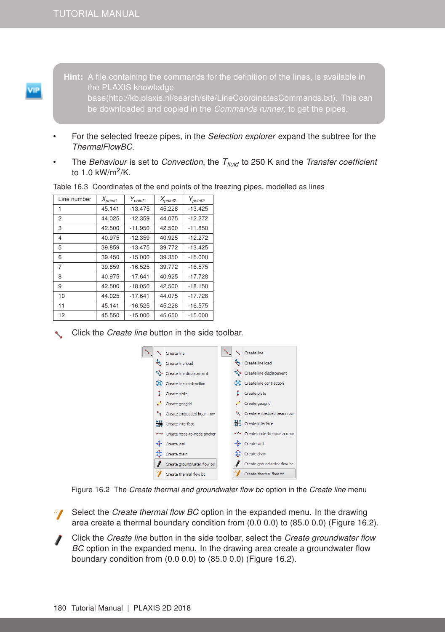the PLAXIS knowledge base(http://kb.plaxis.nl/search/site/LineCoordinatesCommands.txt). This can be downloaded and copied in the Commands runner, to get the pipes.

- For the selected freeze pipes, in the *Selection explorer* expand the subtree for the ThermalFlowBC.
- The *Behaviour* is set to *Convection*, the  $T_{fluid}$  to 250 K and the *Transfer coefficient* to 1.0 kW/m<sup>2</sup> /K.

| Line number    | $X_{point1}$ | $Y_{point1}$ | $X_{point2}$ | $Y_{point2}$ |
|----------------|--------------|--------------|--------------|--------------|
|                | 45.141       | $-13.475$    | 45.228       | $-13.425$    |
| 2              | 44.025       | $-12.359$    | 44.075       | $-12.272$    |
| 3              | 42.500       | $-11.950$    | 42.500       | $-11.850$    |
| 4              | 40.975       | $-12.359$    | 40.925       | $-12.272$    |
| 5              | 39.859       | $-13.475$    | 39.772       | $-13.425$    |
| 6              | 39.450       | $-15.000$    | 39.350       | $-15.000$    |
| $\overline{7}$ | 39.859       | $-16.525$    | 39.772       | $-16.575$    |
| 8              | 40.975       | $-17.641$    | 40.925       | $-17.728$    |
| 9              | 42.500       | $-18.050$    | 42.500       | $-18.150$    |
| 10             | 44.025       | $-17.641$    | 44.075       | $-17.728$    |
| 11             | 45.141       | $-16.525$    | 45.228       | $-16.575$    |
| 12             | 45.550       | $-15.000$    | 45.650       | $-15.000$    |

<span id="page-3-0"></span>Table 16.3 Coordinates of the end points of the freezing pipes, modelled as lines

Click the Create line button in the side toolbar.



<span id="page-3-1"></span>Figure 16.2 The Create thermal and groundwater flow bc option in the Create line menu

- $\frac{1}{2}$  Select the *Create thermal flow BC* option in the expanded menu. In the drawing area create a thermal boundary condition from (0.0 0.0) to (85.0 0.0) (Figure [16.2\)](#page-3-1).
- Click the Create line button in the side toolbar, select the Create groundwater flow BC option in the expanded menu. In the drawing area create a groundwater flow boundary condition from (0.0 0.0) to (85.0 0.0) (Figure [16.2\)](#page-3-1).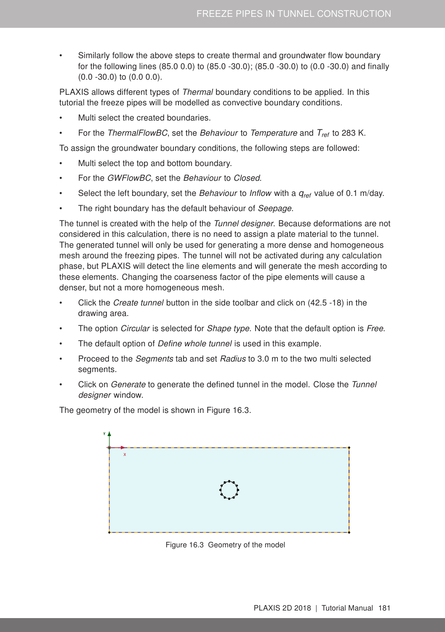• Similarly follow the above steps to create thermal and groundwater flow boundary for the following lines (85.0 0.0) to (85.0 -30.0); (85.0 -30.0) to (0.0 -30.0) and finally (0.0 -30.0) to (0.0 0.0).

PLAXIS allows different types of Thermal boundary conditions to be applied. In this tutorial the freeze pipes will be modelled as convective boundary conditions.

- Multi select the created boundaries.
- For the ThermalFlowBC, set the Behaviour to Temperature and  $T_{ref}$  to 283 K.

To assign the groundwater boundary conditions, the following steps are followed:

- Multi select the top and bottom boundary.
- For the GWFlowBC, set the Behaviour to Closed.
- Select the left boundary, set the Behaviour to Inflow with a *qref* value of 0.1 m/day.
- The right boundary has the default behaviour of Seepage.

The tunnel is created with the help of the Tunnel designer. Because deformations are not considered in this calculation, there is no need to assign a plate material to the tunnel. The generated tunnel will only be used for generating a more dense and homogeneous mesh around the freezing pipes. The tunnel will not be activated during any calculation phase, but PLAXIS will detect the line elements and will generate the mesh according to these elements. Changing the coarseness factor of the pipe elements will cause a denser, but not a more homogeneous mesh.

- Click the Create tunnel button in the side toolbar and click on (42.5 -18) in the drawing area.
- The option *Circular* is selected for *Shape type*. Note that the default option is *Free.*
- The default option of *Define whole tunnel* is used in this example.
- Proceed to the *Segments* tab and set Radius to 3.0 m to the two multi selected segments.
- Click on *Generate* to generate the defined tunnel in the model. Close the Tunnel designer window.

The geometry of the model is shown in Figure [16.3.](#page-4-0)

<span id="page-4-0"></span>

Figure 16.3 Geometry of the model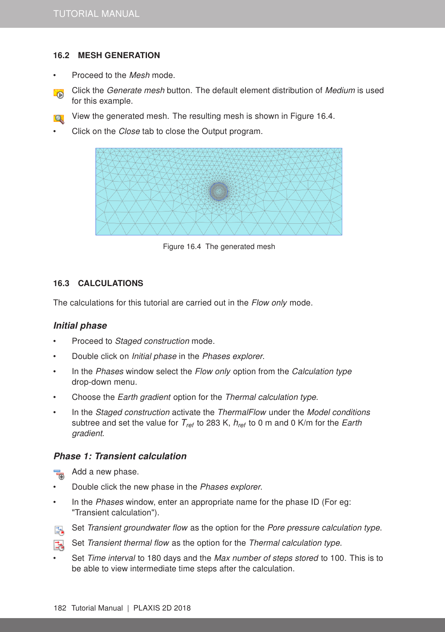# 16.2 MESH GENERATION

- Proceed to the Mesh mode.
- Click the Generate mesh button. The default element distribution of Medium is used **SOP** for this example.
- **View the generated mesh. The resulting mesh is shown in Figure [16.4.](#page-5-0)**
- Click on the Close tab to close the Output program.

<span id="page-5-0"></span>

Figure 16.4 The generated mesh

# 16.3 CALCULATIONS

The calculations for this tutorial are carried out in the Flow only mode.

## Initial phase

- Proceed to Staged construction mode.
- Double click on Initial phase in the Phases explorer.
- In the Phases window select the Flow only option from the Calculation type drop-down menu.
- Choose the Earth gradient option for the Thermal calculation type.
- In the Staged construction activate the ThermalFlow under the Model conditions subtree and set the value for *Tref* to 283 K, *href* to 0 m and 0 K/m for the Earth gradient.

## Phase 1: Transient calculation

- Add a new phase.
- Double click the new phase in the Phases explorer.
- In the Phases window, enter an appropriate name for the phase ID (For eg: "Transient calculation").
- Set Transient groundwater flow as the option for the Pore pressure calculation type. E.
- 话 Set Transient thermal flow as the option for the Thermal calculation type.
- Set Time interval to 180 days and the Max number of steps stored to 100. This is to be able to view intermediate time steps after the calculation.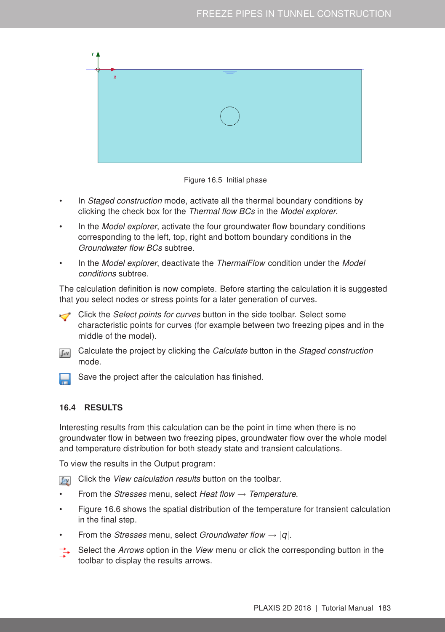

Figure 16.5 Initial phase

- In Staged construction mode, activate all the thermal boundary conditions by clicking the check box for the Thermal flow BCs in the Model explorer.
- In the *Model explorer*, activate the four groundwater flow boundary conditions corresponding to the left, top, right and bottom boundary conditions in the Groundwater flow BCs subtree.
- In the Model explorer, deactivate the ThermalFlow condition under the Model conditions subtree.

The calculation definition is now complete. Before starting the calculation it is suggested that you select nodes or stress points for a later generation of curves.

Click the *Select points for curves* button in the side toolbar. Select some characteristic points for curves (for example between two freezing pipes and in the middle of the model).

Calculate the project by clicking the Calculate button in the Staged construction  $\int dV$ mode.



#### 16.4 RESULTS

Interesting results from this calculation can be the point in time when there is no groundwater flow in between two freezing pipes, groundwater flow over the whole model and temperature distribution for both steady state and transient calculations.

To view the results in the Output program:

- **Fox** Click the View calculation results button on the toolbar.
- From the Stresses menu, select Heat flow  $\rightarrow$  Temperature.
- Figure [16.6](#page-7-0) shows the spatial distribution of the temperature for transient calculation in the final step.
- From the *Stresses* menu, select *Groundwater flow*  $\rightarrow$  |*q*|.
- Select the Arrows option in the View menu or click the corresponding button in the toolbar to display the results arrows.